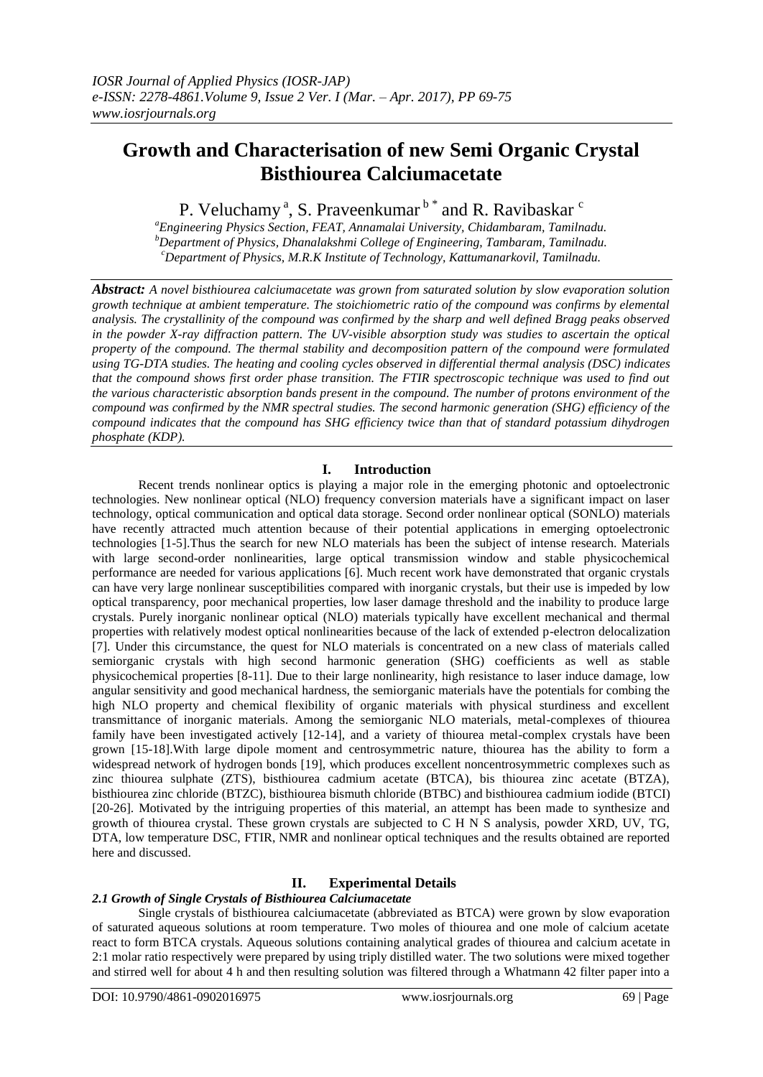# **Growth and Characterisation of new Semi Organic Crystal Bisthiourea Calciumacetate**

P. Veluchamy<sup>a</sup>, S. Praveenkumar<sup>b\*</sup> and R. Ravibaskar<sup>c</sup>

*<sup>a</sup>Engineering Physics Section, FEAT, Annamalai University, Chidambaram, Tamilnadu. <sup>b</sup>Department of Physics, Dhanalakshmi College of Engineering, Tambaram, Tamilnadu. <sup>c</sup>Department of Physics, M.R.K Institute of Technology, Kattumanarkovil, Tamilnadu.*

*Abstract: A novel bisthiourea calciumacetate was grown from saturated solution by slow evaporation solution growth technique at ambient temperature. The stoichiometric ratio of the compound was confirms by elemental analysis. The crystallinity of the compound was confirmed by the sharp and well defined Bragg peaks observed in the powder X-ray diffraction pattern. The UV-visible absorption study was studies to ascertain the optical property of the compound. The thermal stability and decomposition pattern of the compound were formulated using TG-DTA studies. The heating and cooling cycles observed in differential thermal analysis (DSC) indicates that the compound shows first order phase transition. The FTIR spectroscopic technique was used to find out the various characteristic absorption bands present in the compound. The number of protons environment of the compound was confirmed by the NMR spectral studies. The second harmonic generation (SHG) efficiency of the compound indicates that the compound has SHG efficiency twice than that of standard potassium dihydrogen phosphate (KDP).*

## **I. Introduction**

Recent trends nonlinear optics is playing a major role in the emerging photonic and optoelectronic technologies. New nonlinear optical (NLO) frequency conversion materials have a significant impact on laser technology, optical communication and optical data storage. Second order nonlinear optical (SONLO) materials have recently attracted much attention because of their potential applications in emerging optoelectronic technologies [1-5].Thus the search for new NLO materials has been the subject of intense research. Materials with large second-order nonlinearities, large optical transmission window and stable physicochemical performance are needed for various applications [6]. Much recent work have demonstrated that organic crystals can have very large nonlinear susceptibilities compared with inorganic crystals, but their use is impeded by low optical transparency, poor mechanical properties, low laser damage threshold and the inability to produce large crystals. Purely inorganic nonlinear optical (NLO) materials typically have excellent mechanical and thermal properties with relatively modest optical nonlinearities because of the lack of extended p-electron delocalization [7]. Under this circumstance, the quest for NLO materials is concentrated on a new class of materials called semiorganic crystals with high second harmonic generation (SHG) coefficients as well as stable physicochemical properties [8-11]. Due to their large nonlinearity, high resistance to laser induce damage, low angular sensitivity and good mechanical hardness, the semiorganic materials have the potentials for combing the high NLO property and chemical flexibility of organic materials with physical sturdiness and excellent transmittance of inorganic materials. Among the semiorganic NLO materials, metal-complexes of thiourea family have been investigated actively [12-14], and a variety of thiourea metal-complex crystals have been grown [15-18].With large dipole moment and centrosymmetric nature, thiourea has the ability to form a widespread network of hydrogen bonds [19], which produces excellent noncentrosymmetric complexes such as zinc thiourea sulphate (ZTS), bisthiourea cadmium acetate (BTCA), bis thiourea zinc acetate (BTZA), bisthiourea zinc chloride (BTZC), bisthiourea bismuth chloride (BTBC) and bisthiourea cadmium iodide (BTCI) [20-26]. Motivated by the intriguing properties of this material, an attempt has been made to synthesize and growth of thiourea crystal. These grown crystals are subjected to C H N S analysis, powder XRD, UV, TG, DTA, low temperature DSC, FTIR, NMR and nonlinear optical techniques and the results obtained are reported here and discussed.

# **II. Experimental Details**

## *2.1 Growth of Single Crystals of Bisthiourea Calciumacetate*

Single crystals of bisthiourea calciumacetate (abbreviated as BTCA) were grown by slow evaporation of saturated aqueous solutions at room temperature. Two moles of thiourea and one mole of calcium acetate react to form BTCA crystals. Aqueous solutions containing analytical grades of thiourea and calcium acetate in 2:1 molar ratio respectively were prepared by using triply distilled water. The two solutions were mixed together and stirred well for about 4 h and then resulting solution was filtered through a Whatmann 42 filter paper into a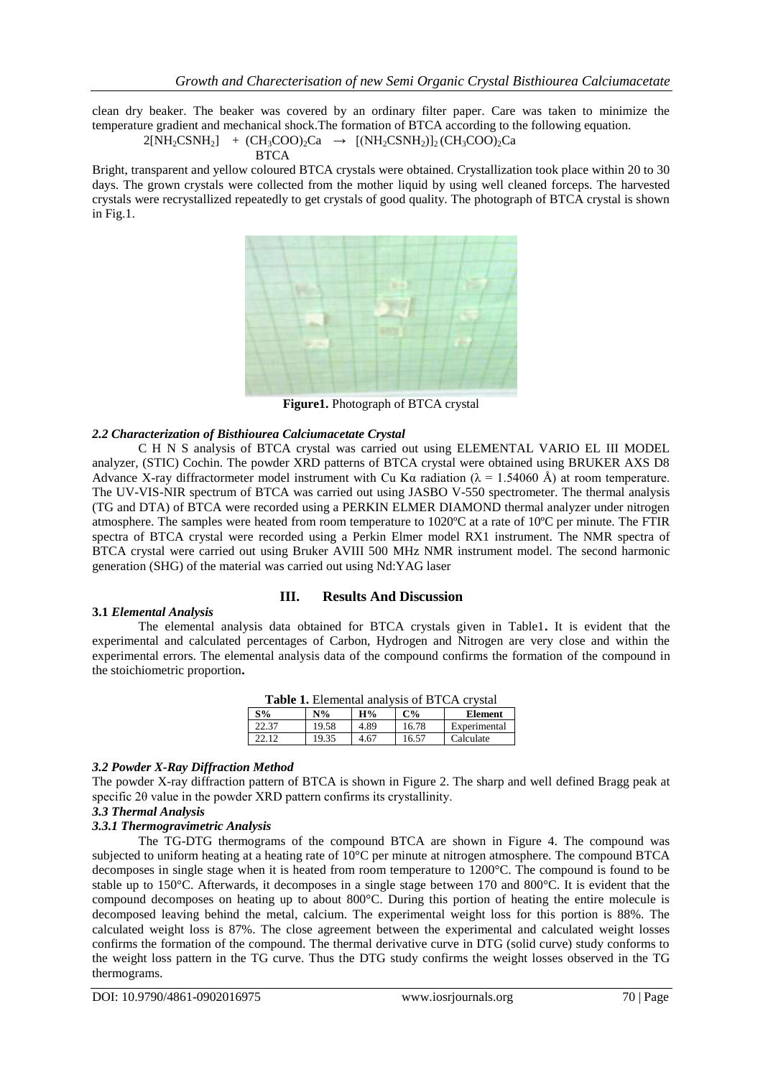clean dry beaker. The beaker was covered by an ordinary filter paper. Care was taken to minimize the temperature gradient and mechanical shock.The formation of BTCA according to the following equation.

$$
2[NH2CSNH2] + (CH3COO)2Ca \rightarrow [(NH2CSNH2)]2(CH3COO)2Ca
$$

Bright, transparent and yellow coloured BTCA crystals were obtained. Crystallization took place within 20 to 30 days. The grown crystals were collected from the mother liquid by using well cleaned forceps. The harvested crystals were recrystallized repeatedly to get crystals of good quality. The photograph of BTCA crystal is shown in Fig.1.



**Figure1.** Photograph of BTCA crystal

### *2.2 Characterization of Bisthiourea Calciumacetate Crystal*

C H N S analysis of BTCA crystal was carried out using ELEMENTAL VARIO EL III MODEL analyzer, (STIC) Cochin. The powder XRD patterns of BTCA crystal were obtained using BRUKER AXS D8 Advance X-ray diffractormeter model instrument with Cu Kα radiation ( $\lambda = 1.54060$  Å) at room temperature. The UV-VIS-NIR spectrum of BTCA was carried out using JASBO V-550 spectrometer. The thermal analysis (TG and DTA) of BTCA were recorded using a PERKIN ELMER DIAMOND thermal analyzer under nitrogen atmosphere. The samples were heated from room temperature to 1020ºC at a rate of 10ºC per minute. The FTIR spectra of BTCA crystal were recorded using a Perkin Elmer model RX1 instrument. The NMR spectra of BTCA crystal were carried out using Bruker AVIII 500 MHz NMR instrument model. The second harmonic generation (SHG) of the material was carried out using Nd:YAG laser

#### **3.1** *Elemental Analysis*

## **III. Results And Discussion**

The elemental analysis data obtained for BTCA crystals given in Table1**.** It is evident that the experimental and calculated percentages of Carbon, Hydrogen and Nitrogen are very close and within the experimental errors. The elemental analysis data of the compound confirms the formation of the compound in the stoichiometric proportion**.**

| <b>Table 1.</b> Elemental analysis of BTCA crystal |       |      |       |                |
|----------------------------------------------------|-------|------|-------|----------------|
| $S\%$                                              | $N\%$ | H%   | $C\%$ | <b>Element</b> |
| 22.37                                              | 19.58 | 4.89 | 16.78 | Experimental   |
| 22.12                                              | 19.35 | 4.67 | 16.57 | Calculate      |

#### *3.2 Powder X-Ray Diffraction Method*

The powder X-ray diffraction pattern of BTCA is shown in Figure 2. The sharp and well defined Bragg peak at specific 2θ value in the powder XRD pattern confirms its crystallinity.

### *3.3 Thermal Analysis*

#### *3.3.1 Thermogravimetric Analysis*

The TG-DTG thermograms of the compound BTCA are shown in Figure 4. The compound was subjected to uniform heating at a heating rate of 10°C per minute at nitrogen atmosphere. The compound BTCA decomposes in single stage when it is heated from room temperature to 1200°C. The compound is found to be stable up to 150°C. Afterwards, it decomposes in a single stage between 170 and 800°C. It is evident that the compound decomposes on heating up to about 800°C. During this portion of heating the entire molecule is decomposed leaving behind the metal, calcium. The experimental weight loss for this portion is 88%. The calculated weight loss is 87%. The close agreement between the experimental and calculated weight losses confirms the formation of the compound. The thermal derivative curve in DTG (solid curve) study conforms to the weight loss pattern in the TG curve. Thus the DTG study confirms the weight losses observed in the TG thermograms.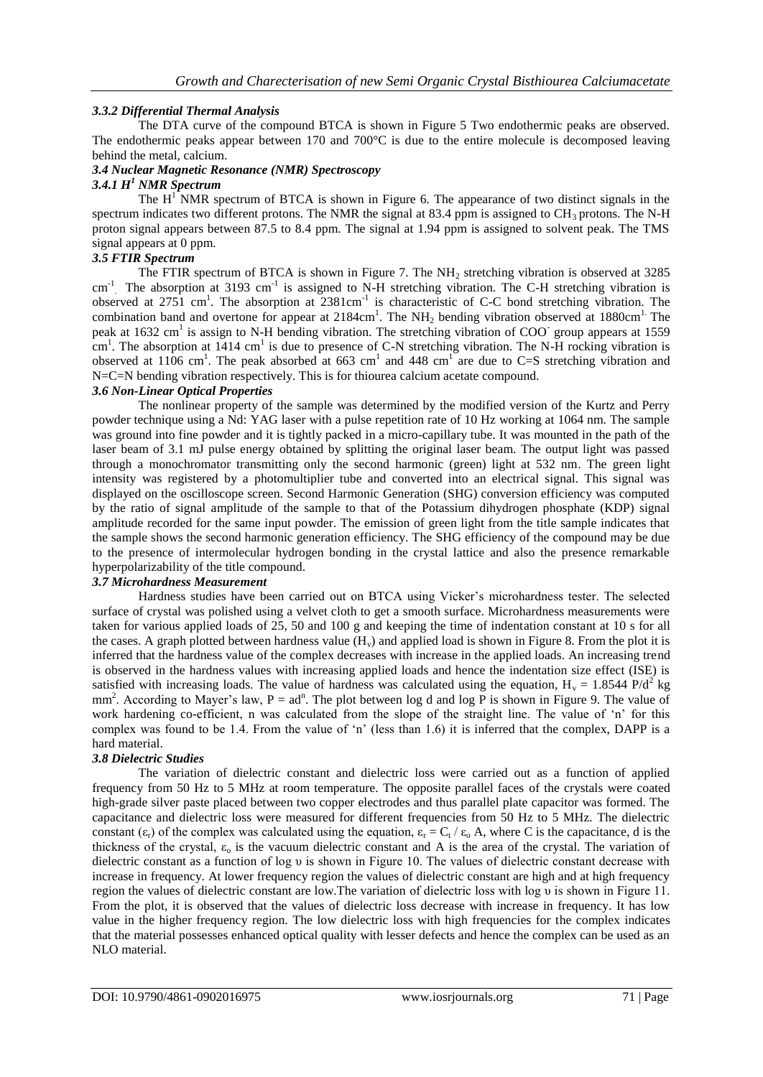## *3.3.2 Differential Thermal Analysis*

The DTA curve of the compound BTCA is shown in Figure 5 Two endothermic peaks are observed. The endothermic peaks appear between 170 and 700 $^{\circ}$ C is due to the entire molecule is decomposed leaving behind the metal, calcium.

# *3.4 Nuclear Magnetic Resonance (NMR) Spectroscopy*

#### *3.4.1 H<sup>1</sup> NMR Spectrum*

The  $H<sup>T</sup> NMR$  spectrum of BTCA is shown in Figure 6. The appearance of two distinct signals in the spectrum indicates two different protons. The NMR the signal at 83.4 ppm is assigned to  $CH<sub>3</sub>$  protons. The N-H proton signal appears between 87.5 to 8.4 ppm. The signal at 1.94 ppm is assigned to solvent peak. The TMS signal appears at 0 ppm.

## *3.5 FTIR Spectrum*

The FTIR spectrum of BTCA is shown in Figure 7. The NH<sub>2</sub> stretching vibration is observed at 3285 cm<sup>-1</sup>. The absorption at 3193 cm<sup>-1</sup> is assigned to N-H stretching vibration. The C-H stretching vibration is observed at 2751 cm<sup>1</sup>. The absorption at 2381cm<sup>-1</sup> is characteristic of C-C bond stretching vibration. The combination band and overtone for appear at  $2184 \text{cm}^1$ . The NH<sub>2</sub> bending vibration observed at 1880cm<sup>1.</sup> The peak at 1632 cm<sup>1</sup> is assign to N-H bending vibration. The stretching vibration of COO<sup>-</sup> group appears at 1559  $\text{cm}^1$ . The absorption at 1414 cm<sup>1</sup> is due to presence of C-N stretching vibration. The N-H rocking vibration is observed at 1106 cm<sup>1</sup>. The peak absorbed at 663 cm<sup>1</sup> and 448 cm<sup>1</sup> are due to C=S stretching vibration and N=C=N bending vibration respectively. This is for thiourea calcium acetate compound.

#### *3.6 Non-Linear Optical Properties*

The nonlinear property of the sample was determined by the modified version of the Kurtz and Perry powder technique using a Nd: YAG laser with a pulse repetition rate of 10 Hz working at 1064 nm. The sample was ground into fine powder and it is tightly packed in a micro-capillary tube. It was mounted in the path of the laser beam of 3.1 mJ pulse energy obtained by splitting the original laser beam. The output light was passed through a monochromator transmitting only the second harmonic (green) light at 532 nm. The green light intensity was registered by a photomultiplier tube and converted into an electrical signal. This signal was displayed on the oscilloscope screen. Second Harmonic Generation (SHG) conversion efficiency was computed by the ratio of signal amplitude of the sample to that of the Potassium dihydrogen phosphate (KDP) signal amplitude recorded for the same input powder. The emission of green light from the title sample indicates that the sample shows the second harmonic generation efficiency. The SHG efficiency of the compound may be due to the presence of intermolecular hydrogen bonding in the crystal lattice and also the presence remarkable hyperpolarizability of the title compound.

# *3.7 Microhardness Measurement*

Hardness studies have been carried out on BTCA using Vicker's microhardness tester. The selected surface of crystal was polished using a velvet cloth to get a smooth surface. Microhardness measurements were taken for various applied loads of 25, 50 and 100 g and keeping the time of indentation constant at 10 s for all the cases. A graph plotted between hardness value  $(H_v)$  and applied load is shown in Figure 8. From the plot it is inferred that the hardness value of the complex decreases with increase in the applied loads. An increasing trend is observed in the hardness values with increasing applied loads and hence the indentation size effect (ISE) is satisfied with increasing loads. The value of hardness was calculated using the equation,  $H_v = 1.8544 \text{ P/d}^2 \text{ kg}$ mm<sup>2</sup>. According to Mayer's law,  $P = ad^n$ . The plot between log d and log P is shown in Figure 9. The value of work hardening co-efficient, n was calculated from the slope of the straight line. The value of 'n' for this complex was found to be 1.4. From the value of 'n' (less than 1.6) it is inferred that the complex, DAPP is a hard material.

## *3.8 Dielectric Studies*

The variation of dielectric constant and dielectric loss were carried out as a function of applied frequency from 50 Hz to 5 MHz at room temperature. The opposite parallel faces of the crystals were coated high-grade silver paste placed between two copper electrodes and thus parallel plate capacitor was formed. The capacitance and dielectric loss were measured for different frequencies from 50 Hz to 5 MHz. The dielectric constant  $(\epsilon_r)$  of the complex was calculated using the equation,  $\epsilon_r = C_t / \epsilon_o$  A, where C is the capacitance, d is the thickness of the crystal,  $\varepsilon_0$  is the vacuum dielectric constant and A is the area of the crystal. The variation of dielectric constant as a function of log υ is shown in Figure 10. The values of dielectric constant decrease with increase in frequency. At lower frequency region the values of dielectric constant are high and at high frequency region the values of dielectric constant are low.The variation of dielectric loss with log υ is shown in Figure 11. From the plot, it is observed that the values of dielectric loss decrease with increase in frequency. It has low value in the higher frequency region. The low dielectric loss with high frequencies for the complex indicates that the material possesses enhanced optical quality with lesser defects and hence the complex can be used as an NLO material.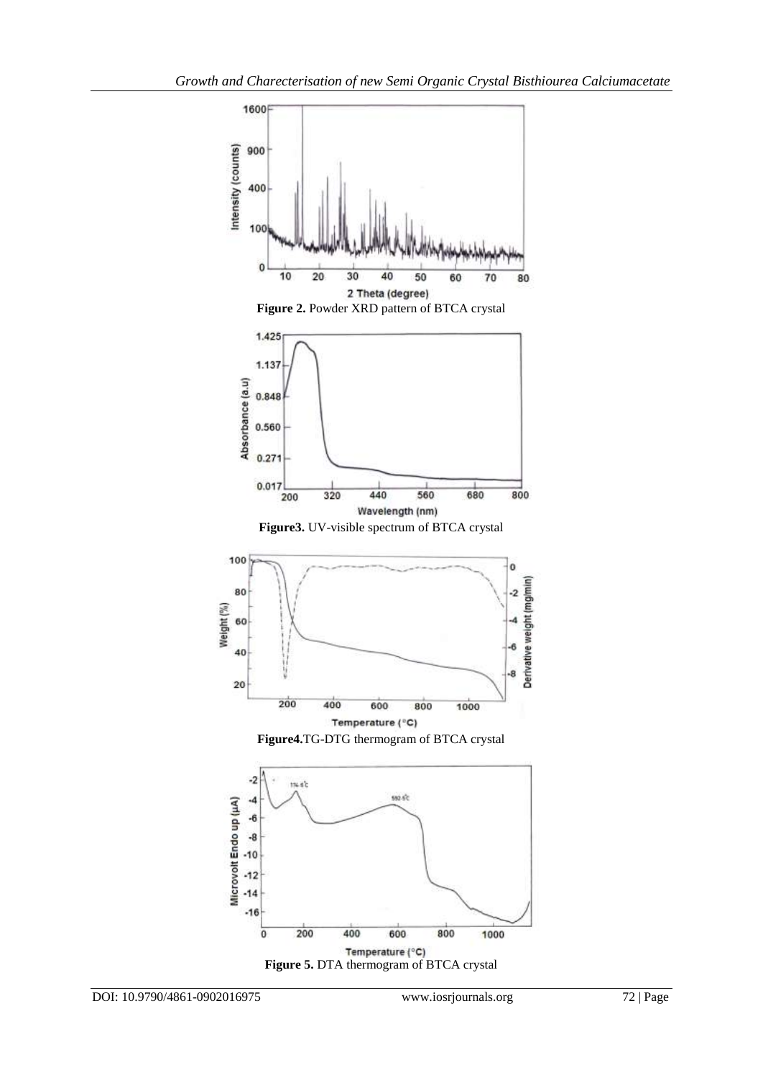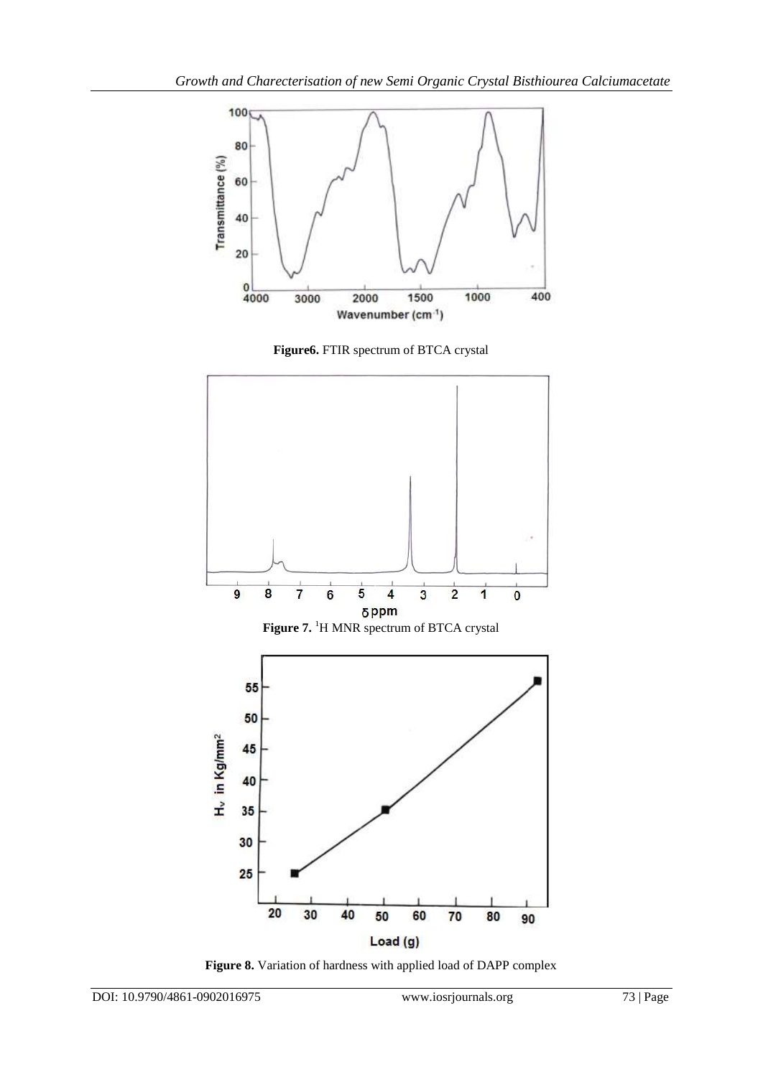





**Figure 8.** Variation of hardness with applied load of DAPP complex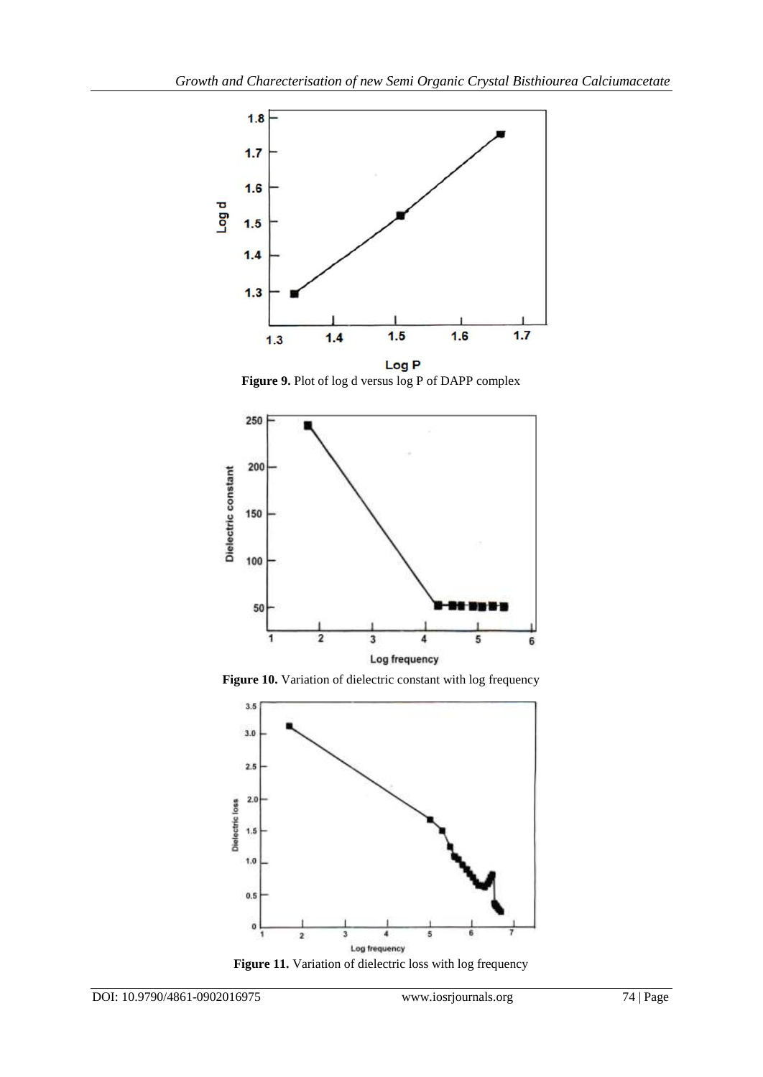

Figure 9. Plot of log d versus log P of DAPP complex







Figure 11. Variation of dielectric loss with log frequency